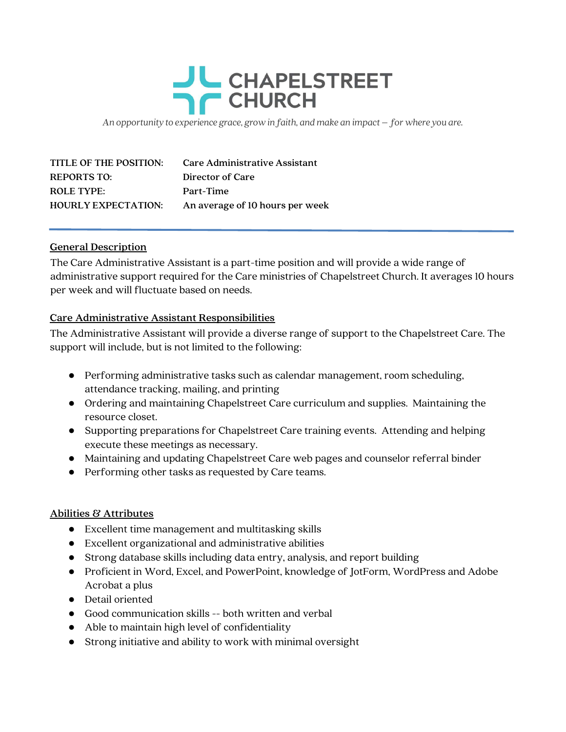## CHAPELSTREET **CHURCH**

An opportunity to experience grace, grow in faith, and make an impact – for where you are.

| TITLE OF THE POSITION:     | <b>Care Administrative Assistant</b> |
|----------------------------|--------------------------------------|
| <b>REPORTS TO:</b>         | Director of Care                     |
| <b>ROLE TYPE:</b>          | Part-Time                            |
| <b>HOURLY EXPECTATION:</b> | An average of 10 hours per week      |

## General Description

The Care Administrative Assistant is a part-time position and will provide a wide range of administrative support required for the Care ministries of Chapelstreet Church. It averages 10 hours per week and will fluctuate based on needs.

## Care Administrative Assistant Responsibilities

The Administrative Assistant will provide a diverse range of support to the Chapelstreet Care. The support will include, but is not limited to the following:

- Performing administrative tasks such as calendar management, room scheduling, attendance tracking, mailing, and printing
- Ordering and maintaining Chapelstreet Care curriculum and supplies. Maintaining the resource closet.
- Supporting preparations for Chapelstreet Care training events. Attending and helping execute these meetings as necessary.
- Maintaining and updating Chapelstreet Care web pages and counselor referral binder
- Performing other tasks as requested by Care teams.

## Abilities & Attributes

- Excellent time management and multitasking skills
- Excellent organizational and administrative abilities
- Strong database skills including data entry, analysis, and report building
- Proficient in Word, Excel, and PowerPoint, knowledge of JotForm, WordPress and Adobe Acrobat a plus
- Detail oriented
- Good communication skills -- both written and verbal
- Able to maintain high level of confidentiality
- Strong initiative and ability to work with minimal oversight